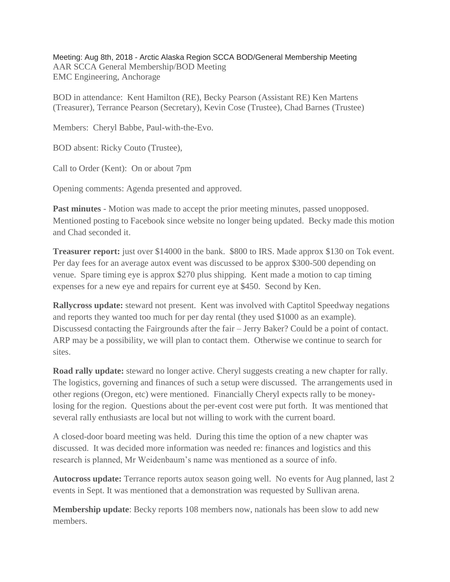Meeting: Aug 8th, 2018 - Arctic Alaska Region SCCA BOD/General Membership Meeting AAR SCCA General Membership/BOD Meeting EMC Engineering, Anchorage

BOD in attendance: Kent Hamilton (RE), Becky Pearson (Assistant RE) Ken Martens (Treasurer), Terrance Pearson (Secretary), Kevin Cose (Trustee), Chad Barnes (Trustee)

Members: Cheryl Babbe, Paul-with-the-Evo.

BOD absent: Ricky Couto (Trustee),

Call to Order (Kent): On or about 7pm

Opening comments: Agenda presented and approved.

**Past minutes** - Motion was made to accept the prior meeting minutes, passed unopposed. Mentioned posting to Facebook since website no longer being updated. Becky made this motion and Chad seconded it.

**Treasurer report:** just over \$14000 in the bank. \$800 to IRS. Made approx \$130 on Tok event. Per day fees for an average autox event was discussed to be approx \$300-500 depending on venue. Spare timing eye is approx \$270 plus shipping. Kent made a motion to cap timing expenses for a new eye and repairs for current eye at \$450. Second by Ken.

**Rallycross update:** steward not present. Kent was involved with Captitol Speedway negations and reports they wanted too much for per day rental (they used \$1000 as an example). Discussesd contacting the Fairgrounds after the fair – Jerry Baker? Could be a point of contact. ARP may be a possibility, we will plan to contact them. Otherwise we continue to search for sites.

**Road rally update:** steward no longer active. Cheryl suggests creating a new chapter for rally. The logistics, governing and finances of such a setup were discussed. The arrangements used in other regions (Oregon, etc) were mentioned. Financially Cheryl expects rally to be moneylosing for the region. Questions about the per-event cost were put forth. It was mentioned that several rally enthusiasts are local but not willing to work with the current board.

A closed-door board meeting was held. During this time the option of a new chapter was discussed. It was decided more information was needed re: finances and logistics and this research is planned, Mr Weidenbaum's name was mentioned as a source of info.

**Autocross update:** Terrance reports autox season going well. No events for Aug planned, last 2 events in Sept. It was mentioned that a demonstration was requested by Sullivan arena.

**Membership update**: Becky reports 108 members now, nationals has been slow to add new members.